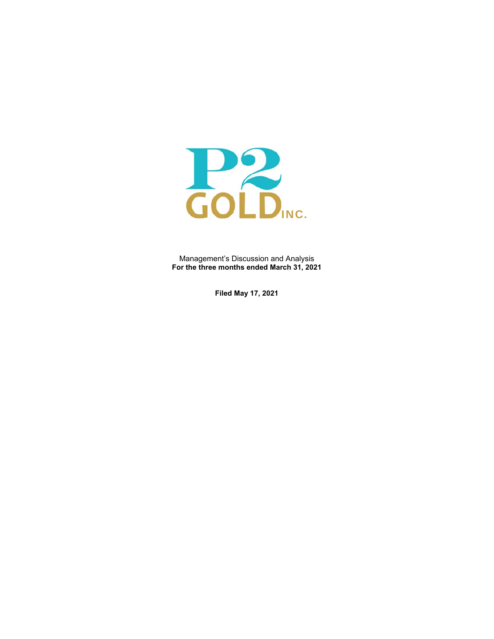

Management's Discussion and Analysis **For the three months ended March 31, 2021** 

**Filed May 17, 2021**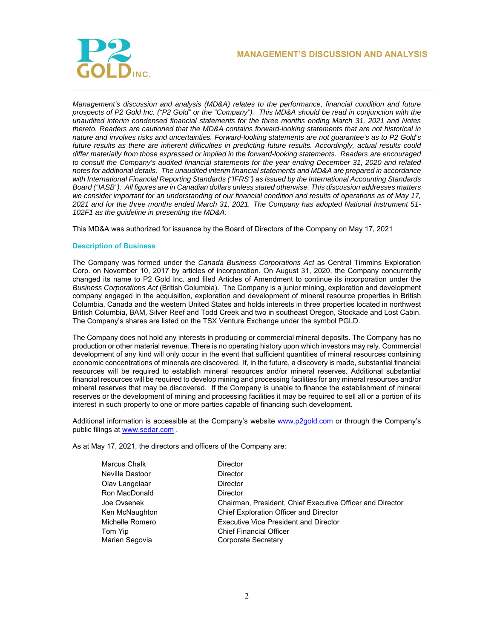

*Management's discussion and analysis (MD&A) relates to the performance, financial condition and future prospects of P2 Gold Inc. ("P2 Gold" or the "Company"). This MD&A should be read in conjunction with the unaudited interim condensed financial statements for the three months ending March 31, 2021 and Notes thereto. Readers are cautioned that the MD&A contains forward-looking statements that are not historical in nature and involves risks and uncertainties. Forward-looking statements are not guarantee's as to P2 Gold's future results as there are inherent difficulties in predicting future results. Accordingly, actual results could differ materially from those expressed or implied in the forward-looking statements. Readers are encouraged to consult the Company's audited financial statements for the year ending December 31, 2020 and related notes for additional details. The unaudited interim financial statements and MD&A are prepared in accordance with International Financial Reporting Standards ("IFRS") as issued by the International Accounting Standards Board ("IASB"). All figures are in Canadian dollars unless stated otherwise. This discussion addresses matters we consider important for an understanding of our financial condition and results of operations as of May 17, 2021 and for the three months ended March 31, 2021. The Company has adopted National Instrument 51- 102F1 as the guideline in presenting the MD&A.*

This MD&A was authorized for issuance by the Board of Directors of the Company on May 17, 2021

# **Description of Business**

The Company was formed under the *Canada Business Corporations Act* as Central Timmins Exploration Corp. on November 10, 2017 by articles of incorporation. On August 31, 2020, the Company concurrently changed its name to P2 Gold Inc. and filed Articles of Amendment to continue its incorporation under the *Business Corporations Act* (British Columbia). The Company is a junior mining, exploration and development company engaged in the acquisition, exploration and development of mineral resource properties in British Columbia, Canada and the western United States and holds interests in three properties located in northwest British Columbia, BAM, Silver Reef and Todd Creek and two in southeast Oregon, Stockade and Lost Cabin. The Company's shares are listed on the TSX Venture Exchange under the symbol PGLD.

The Company does not hold any interests in producing or commercial mineral deposits. The Company has no production or other material revenue. There is no operating history upon which investors may rely. Commercial development of any kind will only occur in the event that sufficient quantities of mineral resources containing economic concentrations of minerals are discovered. If, in the future, a discovery is made, substantial financial resources will be required to establish mineral resources and/or mineral reserves. Additional substantial financial resources will be required to develop mining and processing facilities for any mineral resources and/or mineral reserves that may be discovered. If the Company is unable to finance the establishment of mineral reserves or the development of mining and processing facilities it may be required to sell all or a portion of its interest in such property to one or more parties capable of financing such development.

Additional information is accessible at the Company's website www.p2qold.com or through the Company's public filings at www.sedar.com .

As at May 17, 2021, the directors and officers of the Company are:

| Marcus Chalk    | <b>Director</b>                                           |
|-----------------|-----------------------------------------------------------|
| Neville Dastoor | <b>Director</b>                                           |
| Olav Langelaar  | Director                                                  |
| Ron MacDonald   | Director                                                  |
| Joe Ovsenek     | Chairman, President, Chief Executive Officer and Director |
| Ken McNaughton  | <b>Chief Exploration Officer and Director</b>             |
| Michelle Romero | <b>Executive Vice President and Director</b>              |
| Tom Yip         | <b>Chief Financial Officer</b>                            |
| Marien Segovia  | Corporate Secretary                                       |
|                 |                                                           |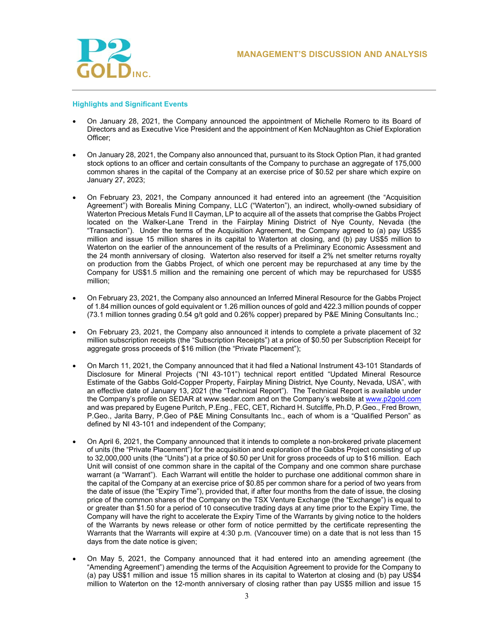

# **Highlights and Significant Events**

- On January 28, 2021, the Company announced the appointment of Michelle Romero to its Board of Directors and as Executive Vice President and the appointment of Ken McNaughton as Chief Exploration Officer;
- On January 28, 2021, the Company also announced that, pursuant to its Stock Option Plan, it had granted stock options to an officer and certain consultants of the Company to purchase an aggregate of 175,000 common shares in the capital of the Company at an exercise price of \$0.52 per share which expire on January 27, 2023;
- On February 23, 2021, the Company announced it had entered into an agreement (the "Acquisition Agreement") with Borealis Mining Company, LLC ("Waterton"), an indirect, wholly-owned subsidiary of Waterton Precious Metals Fund II Cayman, LP to acquire all of the assets that comprise the Gabbs Project located on the Walker-Lane Trend in the Fairplay Mining District of Nye County, Nevada (the "Transaction"). Under the terms of the Acquisition Agreement, the Company agreed to (a) pay US\$5 million and issue 15 million shares in its capital to Waterton at closing, and (b) pay US\$5 million to Waterton on the earlier of the announcement of the results of a Preliminary Economic Assessment and the 24 month anniversary of closing. Waterton also reserved for itself a 2% net smelter returns royalty on production from the Gabbs Project, of which one percent may be repurchased at any time by the Company for US\$1.5 million and the remaining one percent of which may be repurchased for US\$5 million;
- On February 23, 2021, the Company also announced an Inferred Mineral Resource for the Gabbs Project of 1.84 million ounces of gold equivalent or 1.26 million ounces of gold and 422.3 million pounds of copper (73.1 million tonnes grading 0.54 g/t gold and 0.26% copper) prepared by P&E Mining Consultants Inc.;
- On February 23, 2021, the Company also announced it intends to complete a private placement of 32 million subscription receipts (the "Subscription Receipts") at a price of \$0.50 per Subscription Receipt for aggregate gross proceeds of \$16 million (the "Private Placement");
- On March 11, 2021, the Company announced that it had filed a National Instrument 43-101 Standards of Disclosure for Mineral Projects ("NI 43-101") technical report entitled "Updated Mineral Resource Estimate of the Gabbs Gold-Copper Property, Fairplay Mining District, Nye County, Nevada, USA", with an effective date of January 13, 2021 (the "Technical Report"). The Technical Report is available under the Company's profile on SEDAR at www.sedar.com and on the Company's website at www.p2gold.com and was prepared by Eugene Puritch, P.Eng., FEC, CET, Richard H. Sutcliffe, Ph.D, P.Geo., Fred Brown, P.Geo., Jarita Barry, P.Geo of P&E Mining Consultants Inc., each of whom is a "Qualified Person" as defined by NI 43-101 and independent of the Company;
- On April 6, 2021, the Company announced that it intends to complete a non-brokered private placement of units (the "Private Placement") for the acquisition and exploration of the Gabbs Project consisting of up to 32,000,000 units (the "Units") at a price of \$0.50 per Unit for gross proceeds of up to \$16 million. Each Unit will consist of one common share in the capital of the Company and one common share purchase warrant (a "Warrant"). Each Warrant will entitle the holder to purchase one additional common share in the capital of the Company at an exercise price of \$0.85 per common share for a period of two years from the date of issue (the "Expiry Time"), provided that, if after four months from the date of issue, the closing price of the common shares of the Company on the TSX Venture Exchange (the "Exchange") is equal to or greater than \$1.50 for a period of 10 consecutive trading days at any time prior to the Expiry Time, the Company will have the right to accelerate the Expiry Time of the Warrants by giving notice to the holders of the Warrants by news release or other form of notice permitted by the certificate representing the Warrants that the Warrants will expire at 4:30 p.m. (Vancouver time) on a date that is not less than 15 days from the date notice is given;
- On May 5, 2021, the Company announced that it had entered into an amending agreement (the "Amending Agreement") amending the terms of the Acquisition Agreement to provide for the Company to (a) pay US\$1 million and issue 15 million shares in its capital to Waterton at closing and (b) pay US\$4 million to Waterton on the 12-month anniversary of closing rather than pay US\$5 million and issue 15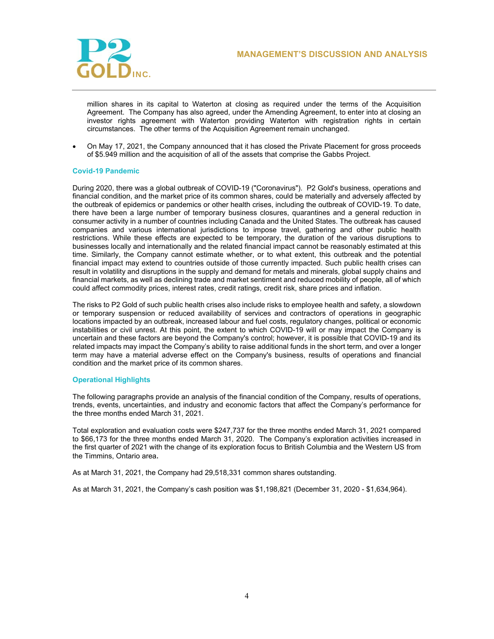

million shares in its capital to Waterton at closing as required under the terms of the Acquisition Agreement. The Company has also agreed, under the Amending Agreement, to enter into at closing an investor rights agreement with Waterton providing Waterton with registration rights in certain circumstances. The other terms of the Acquisition Agreement remain unchanged.

 On May 17, 2021, the Company announced that it has closed the Private Placement for gross proceeds of \$5.949 million and the acquisition of all of the assets that comprise the Gabbs Project.

# **Covid-19 Pandemic**

During 2020, there was a global outbreak of COVID-19 ("Coronavirus"). P2 Gold's business, operations and financial condition, and the market price of its common shares, could be materially and adversely affected by the outbreak of epidemics or pandemics or other health crises, including the outbreak of COVID-19. To date, there have been a large number of temporary business closures, quarantines and a general reduction in consumer activity in a number of countries including Canada and the United States. The outbreak has caused companies and various international jurisdictions to impose travel, gathering and other public health restrictions. While these effects are expected to be temporary, the duration of the various disruptions to businesses locally and internationally and the related financial impact cannot be reasonably estimated at this time. Similarly, the Company cannot estimate whether, or to what extent, this outbreak and the potential financial impact may extend to countries outside of those currently impacted. Such public health crises can result in volatility and disruptions in the supply and demand for metals and minerals, global supply chains and financial markets, as well as declining trade and market sentiment and reduced mobility of people, all of which could affect commodity prices, interest rates, credit ratings, credit risk, share prices and inflation.

The risks to P2 Gold of such public health crises also include risks to employee health and safety, a slowdown or temporary suspension or reduced availability of services and contractors of operations in geographic locations impacted by an outbreak, increased labour and fuel costs, regulatory changes, political or economic instabilities or civil unrest. At this point, the extent to which COVID-19 will or may impact the Company is uncertain and these factors are beyond the Company's control; however, it is possible that COVID-19 and its related impacts may impact the Company's ability to raise additional funds in the short term, and over a longer term may have a material adverse effect on the Company's business, results of operations and financial condition and the market price of its common shares.

### **Operational Highlights**

The following paragraphs provide an analysis of the financial condition of the Company, results of operations, trends, events, uncertainties, and industry and economic factors that affect the Company's performance for the three months ended March 31, 2021.

Total exploration and evaluation costs were \$247,737 for the three months ended March 31, 2021 compared to \$66,173 for the three months ended March 31, 2020. The Company's exploration activities increased in the first quarter of 2021 with the change of its exploration focus to British Columbia and the Western US from the Timmins, Ontario area.

As at March 31, 2021, the Company had 29,518,331 common shares outstanding.

As at March 31, 2021, the Company's cash position was \$1,198,821 (December 31, 2020 - \$1,634,964).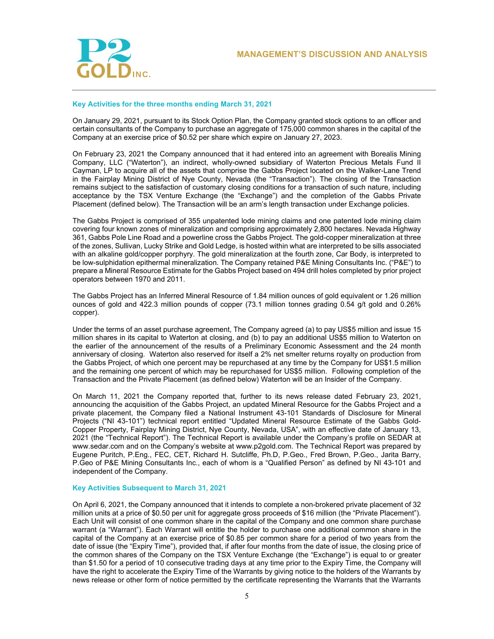

# **Key Activities for the three months ending March 31, 2021**

On January 29, 2021, pursuant to its Stock Option Plan, the Company granted stock options to an officer and certain consultants of the Company to purchase an aggregate of 175,000 common shares in the capital of the Company at an exercise price of \$0.52 per share which expire on January 27, 2023.

On February 23, 2021 the Company announced that it had entered into an agreement with Borealis Mining Company, LLC ("Waterton"), an indirect, wholly-owned subsidiary of Waterton Precious Metals Fund II Cayman, LP to acquire all of the assets that comprise the Gabbs Project located on the Walker-Lane Trend in the Fairplay Mining District of Nye County, Nevada (the "Transaction"). The closing of the Transaction remains subject to the satisfaction of customary closing conditions for a transaction of such nature, including acceptance by the TSX Venture Exchange (the "Exchange") and the completion of the Gabbs Private Placement (defined below). The Transaction will be an arm's length transaction under Exchange policies.

The Gabbs Project is comprised of 355 unpatented lode mining claims and one patented lode mining claim covering four known zones of mineralization and comprising approximately 2,800 hectares. Nevada Highway 361, Gabbs Pole Line Road and a powerline cross the Gabbs Project. The gold-copper mineralization at three of the zones, Sullivan, Lucky Strike and Gold Ledge, is hosted within what are interpreted to be sills associated with an alkaline gold/copper porphyry. The gold mineralization at the fourth zone, Car Body, is interpreted to be low-sulphidation epithermal mineralization. The Company retained P&E Mining Consultants Inc. ("P&E") to prepare a Mineral Resource Estimate for the Gabbs Project based on 494 drill holes completed by prior project operators between 1970 and 2011.

The Gabbs Project has an Inferred Mineral Resource of 1.84 million ounces of gold equivalent or 1.26 million ounces of gold and 422.3 million pounds of copper (73.1 million tonnes grading 0.54 g/t gold and 0.26% copper).

Under the terms of an asset purchase agreement, The Company agreed (a) to pay US\$5 million and issue 15 million shares in its capital to Waterton at closing, and (b) to pay an additional US\$5 million to Waterton on the earlier of the announcement of the results of a Preliminary Economic Assessment and the 24 month anniversary of closing. Waterton also reserved for itself a 2% net smelter returns royalty on production from the Gabbs Project, of which one percent may be repurchased at any time by the Company for US\$1.5 million and the remaining one percent of which may be repurchased for US\$5 million. Following completion of the Transaction and the Private Placement (as defined below) Waterton will be an Insider of the Company.

On March 11, 2021 the Company reported that, further to its news release dated February 23, 2021, announcing the acquisition of the Gabbs Project, an updated Mineral Resource for the Gabbs Project and a private placement, the Company filed a National Instrument 43-101 Standards of Disclosure for Mineral Projects ("NI 43-101") technical report entitled "Updated Mineral Resource Estimate of the Gabbs Gold-Copper Property, Fairplay Mining District, Nye County, Nevada, USA", with an effective date of January 13, 2021 (the "Technical Report"). The Technical Report is available under the Company's profile on SEDAR at www.sedar.com and on the Company's website at www.p2gold.com. The Technical Report was prepared by Eugene Puritch, P.Eng., FEC, CET, Richard H. Sutcliffe, Ph.D, P.Geo., Fred Brown, P.Geo., Jarita Barry, P.Geo of P&E Mining Consultants Inc., each of whom is a "Qualified Person" as defined by NI 43-101 and independent of the Company.

# **Key Activities Subsequent to March 31, 2021**

On April 6, 2021, the Company announced that it intends to complete a non-brokered private placement of 32 million units at a price of \$0.50 per unit for aggregate gross proceeds of \$16 million (the "Private Placement"). Each Unit will consist of one common share in the capital of the Company and one common share purchase warrant (a "Warrant"). Each Warrant will entitle the holder to purchase one additional common share in the capital of the Company at an exercise price of \$0.85 per common share for a period of two years from the date of issue (the "Expiry Time"), provided that, if after four months from the date of issue, the closing price of the common shares of the Company on the TSX Venture Exchange (the "Exchange") is equal to or greater than \$1.50 for a period of 10 consecutive trading days at any time prior to the Expiry Time, the Company will have the right to accelerate the Expiry Time of the Warrants by giving notice to the holders of the Warrants by news release or other form of notice permitted by the certificate representing the Warrants that the Warrants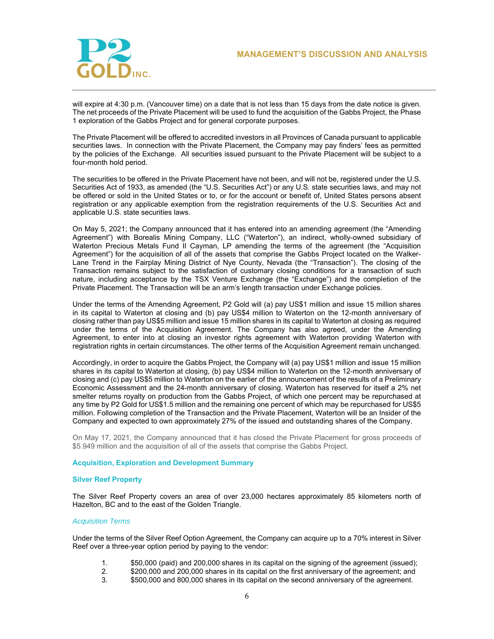

will expire at 4:30 p.m. (Vancouver time) on a date that is not less than 15 days from the date notice is given. The net proceeds of the Private Placement will be used to fund the acquisition of the Gabbs Project, the Phase 1 exploration of the Gabbs Project and for general corporate purposes.

The Private Placement will be offered to accredited investors in all Provinces of Canada pursuant to applicable securities laws. In connection with the Private Placement, the Company may pay finders' fees as permitted by the policies of the Exchange. All securities issued pursuant to the Private Placement will be subject to a four-month hold period.

The securities to be offered in the Private Placement have not been, and will not be, registered under the U.S. Securities Act of 1933, as amended (the "U.S. Securities Act") or any U.S. state securities laws, and may not be offered or sold in the United States or to, or for the account or benefit of, United States persons absent registration or any applicable exemption from the registration requirements of the U.S. Securities Act and applicable U.S. state securities laws.

On May 5, 2021; the Company announced that it has entered into an amending agreement (the "Amending Agreement") with Borealis Mining Company, LLC ("Waterton"), an indirect, wholly-owned subsidiary of Waterton Precious Metals Fund II Cayman, LP amending the terms of the agreement (the "Acquisition Agreement") for the acquisition of all of the assets that comprise the Gabbs Project located on the Walker-Lane Trend in the Fairplay Mining District of Nye County, Nevada (the "Transaction"). The closing of the Transaction remains subject to the satisfaction of customary closing conditions for a transaction of such nature, including acceptance by the TSX Venture Exchange (the "Exchange") and the completion of the Private Placement. The Transaction will be an arm's length transaction under Exchange policies.

Under the terms of the Amending Agreement, P2 Gold will (a) pay US\$1 million and issue 15 million shares in its capital to Waterton at closing and (b) pay US\$4 million to Waterton on the 12-month anniversary of closing rather than pay US\$5 million and issue 15 million shares in its capital to Waterton at closing as required under the terms of the Acquisition Agreement. The Company has also agreed, under the Amending Agreement, to enter into at closing an investor rights agreement with Waterton providing Waterton with registration rights in certain circumstances. The other terms of the Acquisition Agreement remain unchanged.

Accordingly, in order to acquire the Gabbs Project, the Company will (a) pay US\$1 million and issue 15 million shares in its capital to Waterton at closing, (b) pay US\$4 million to Waterton on the 12-month anniversary of closing and (c) pay US\$5 million to Waterton on the earlier of the announcement of the results of a Preliminary Economic Assessment and the 24-month anniversary of closing. Waterton has reserved for itself a 2% net smelter returns royalty on production from the Gabbs Project, of which one percent may be repurchased at any time by P2 Gold for US\$1.5 million and the remaining one percent of which may be repurchased for US\$5 million. Following completion of the Transaction and the Private Placement, Waterton will be an Insider of the Company and expected to own approximately 27% of the issued and outstanding shares of the Company.

On May 17, 2021, the Company announced that it has closed the Private Placement for gross proceeds of \$5.949 million and the acquisition of all of the assets that comprise the Gabbs Project.

# **Acquisition, Exploration and Development Summary**

### **Silver Reef Property**

The Silver Reef Property covers an area of over 23,000 hectares approximately 85 kilometers north of Hazelton, BC and to the east of the Golden Triangle.

### *Acquisition Terms*

Under the terms of the Silver Reef Option Agreement, the Company can acquire up to a 70% interest in Silver Reef over a three-year option period by paying to the vendor:

- 1. \$50,000 (paid) and 200,000 shares in its capital on the signing of the agreement (issued);
- 2. \$200,000 and 200,000 shares in its capital on the first anniversary of the agreement; and<br>3. \$500,000 and 800,000 shares in its capital on the second anniversary of the agreement
- \$500,000 and 800,000 shares in its capital on the second anniversary of the agreement.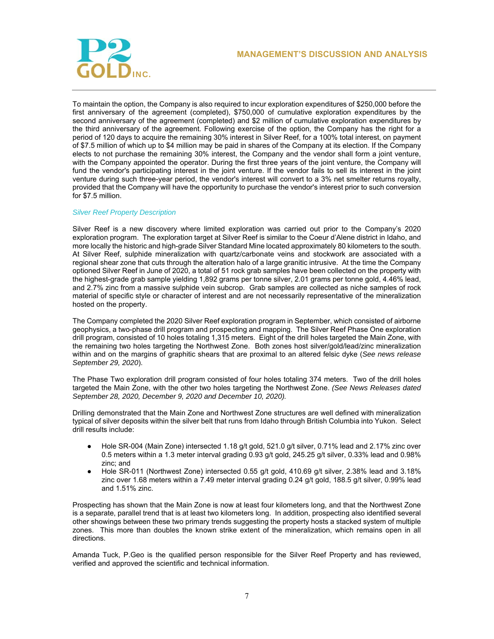

To maintain the option, the Company is also required to incur exploration expenditures of \$250,000 before the first anniversary of the agreement (completed), \$750,000 of cumulative exploration expenditures by the second anniversary of the agreement (completed) and \$2 million of cumulative exploration expenditures by the third anniversary of the agreement. Following exercise of the option, the Company has the right for a period of 120 days to acquire the remaining 30% interest in Silver Reef, for a 100% total interest, on payment of \$7.5 million of which up to \$4 million may be paid in shares of the Company at its election. If the Company elects to not purchase the remaining 30% interest, the Company and the vendor shall form a joint venture, with the Company appointed the operator. During the first three years of the joint venture, the Company will fund the vendor's participating interest in the joint venture. If the vendor fails to sell its interest in the joint venture during such three-year period, the vendor's interest will convert to a 3% net smelter returns royalty, provided that the Company will have the opportunity to purchase the vendor's interest prior to such conversion for \$7.5 million.

# *Silver Reef Property Description*

Silver Reef is a new discovery where limited exploration was carried out prior to the Company's 2020 exploration program. The exploration target at Silver Reef is similar to the Coeur d'Alene district in Idaho, and more locally the historic and high-grade Silver Standard Mine located approximately 80 kilometers to the south. At Silver Reef, sulphide mineralization with quartz/carbonate veins and stockwork are associated with a regional shear zone that cuts through the alteration halo of a large granitic intrusive. At the time the Company optioned Silver Reef in June of 2020, a total of 51 rock grab samples have been collected on the property with the highest-grade grab sample yielding 1,892 grams per tonne silver, 2.01 grams per tonne gold, 4.46% lead, and 2.7% zinc from a massive sulphide vein subcrop. Grab samples are collected as niche samples of rock material of specific style or character of interest and are not necessarily representative of the mineralization hosted on the property.

The Company completed the 2020 Silver Reef exploration program in September, which consisted of airborne geophysics, a two-phase drill program and prospecting and mapping. The Silver Reef Phase One exploration drill program, consisted of 10 holes totaling 1,315 meters. Eight of the drill holes targeted the Main Zone, with the remaining two holes targeting the Northwest Zone. Both zones host silver/gold/lead/zinc mineralization within and on the margins of graphitic shears that are proximal to an altered felsic dyke (*See news release September 29, 2020*).

The Phase Two exploration drill program consisted of four holes totaling 374 meters. Two of the drill holes targeted the Main Zone, with the other two holes targeting the Northwest Zone. *(See News Releases dated September 28, 2020, December 9, 2020 and December 10, 2020).* 

Drilling demonstrated that the Main Zone and Northwest Zone structures are well defined with mineralization typical of silver deposits within the silver belt that runs from Idaho through British Columbia into Yukon. Select drill results include:

- Hole SR-004 (Main Zone) intersected 1.18 g/t gold, 521.0 g/t silver, 0.71% lead and 2.17% zinc over 0.5 meters within a 1.3 meter interval grading 0.93 g/t gold, 245.25 g/t silver, 0.33% lead and 0.98% zinc; and
- Hole SR-011 (Northwest Zone) intersected 0.55 g/t gold, 410.69 g/t silver, 2.38% lead and 3.18% zinc over 1.68 meters within a 7.49 meter interval grading 0.24 g/t gold, 188.5 g/t silver, 0.99% lead and 1.51% zinc.

Prospecting has shown that the Main Zone is now at least four kilometers long, and that the Northwest Zone is a separate, parallel trend that is at least two kilometers long. In addition, prospecting also identified several other showings between these two primary trends suggesting the property hosts a stacked system of multiple zones. This more than doubles the known strike extent of the mineralization, which remains open in all directions.

Amanda Tuck, P.Geo is the qualified person responsible for the Silver Reef Property and has reviewed, verified and approved the scientific and technical information.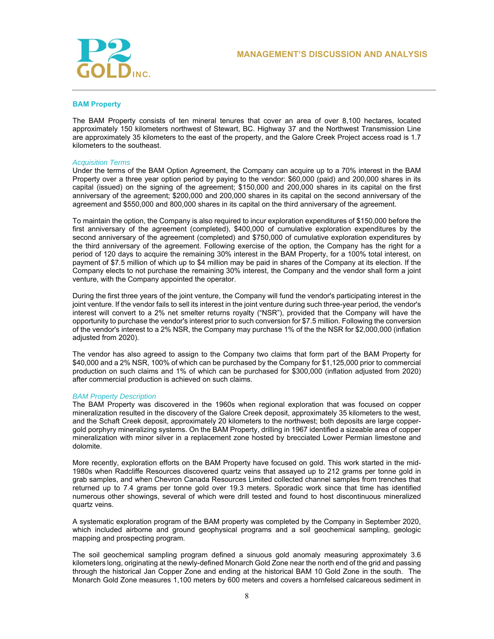

## **BAM Property**

The BAM Property consists of ten mineral tenures that cover an area of over 8,100 hectares, located approximately 150 kilometers northwest of Stewart, BC. Highway 37 and the Northwest Transmission Line are approximately 35 kilometers to the east of the property, and the Galore Creek Project access road is 1.7 kilometers to the southeast.

### *Acquisition Terms*

Under the terms of the BAM Option Agreement, the Company can acquire up to a 70% interest in the BAM Property over a three year option period by paying to the vendor: \$60,000 (paid) and 200,000 shares in its capital (issued) on the signing of the agreement; \$150,000 and 200,000 shares in its capital on the first anniversary of the agreement; \$200,000 and 200,000 shares in its capital on the second anniversary of the agreement and \$550,000 and 800,000 shares in its capital on the third anniversary of the agreement.

To maintain the option, the Company is also required to incur exploration expenditures of \$150,000 before the first anniversary of the agreement (completed), \$400,000 of cumulative exploration expenditures by the second anniversary of the agreement (completed) and \$750,000 of cumulative exploration expenditures by the third anniversary of the agreement. Following exercise of the option, the Company has the right for a period of 120 days to acquire the remaining 30% interest in the BAM Property, for a 100% total interest, on payment of \$7.5 million of which up to \$4 million may be paid in shares of the Company at its election. If the Company elects to not purchase the remaining 30% interest, the Company and the vendor shall form a joint venture, with the Company appointed the operator.

During the first three years of the joint venture, the Company will fund the vendor's participating interest in the joint venture. If the vendor fails to sell its interest in the joint venture during such three-year period, the vendor's interest will convert to a 2% net smelter returns royalty ("NSR"), provided that the Company will have the opportunity to purchase the vendor's interest prior to such conversion for \$7.5 million. Following the conversion of the vendor's interest to a 2% NSR, the Company may purchase 1% of the the NSR for \$2,000,000 (inflation adjusted from 2020).

The vendor has also agreed to assign to the Company two claims that form part of the BAM Property for \$40,000 and a 2% NSR, 100% of which can be purchased by the Company for \$1,125,000 prior to commercial production on such claims and 1% of which can be purchased for \$300,000 (inflation adjusted from 2020) after commercial production is achieved on such claims.

### *BAM Property Description*

The BAM Property was discovered in the 1960s when regional exploration that was focused on copper mineralization resulted in the discovery of the Galore Creek deposit, approximately 35 kilometers to the west, and the Schaft Creek deposit, approximately 20 kilometers to the northwest; both deposits are large coppergold porphyry mineralizing systems. On the BAM Property, drilling in 1967 identified a sizeable area of copper mineralization with minor silver in a replacement zone hosted by brecciated Lower Permian limestone and dolomite.

More recently, exploration efforts on the BAM Property have focused on gold. This work started in the mid-1980s when Radcliffe Resources discovered quartz veins that assayed up to 212 grams per tonne gold in grab samples, and when Chevron Canada Resources Limited collected channel samples from trenches that returned up to 7.4 grams per tonne gold over 19.3 meters. Sporadic work since that time has identified numerous other showings, several of which were drill tested and found to host discontinuous mineralized quartz veins.

A systematic exploration program of the BAM property was completed by the Company in September 2020, which included airborne and ground geophysical programs and a soil geochemical sampling, geologic mapping and prospecting program.

The soil geochemical sampling program defined a sinuous gold anomaly measuring approximately 3.6 kilometers long, originating at the newly-defined Monarch Gold Zone near the north end of the grid and passing through the historical Jan Copper Zone and ending at the historical BAM 10 Gold Zone in the south. The Monarch Gold Zone measures 1,100 meters by 600 meters and covers a hornfelsed calcareous sediment in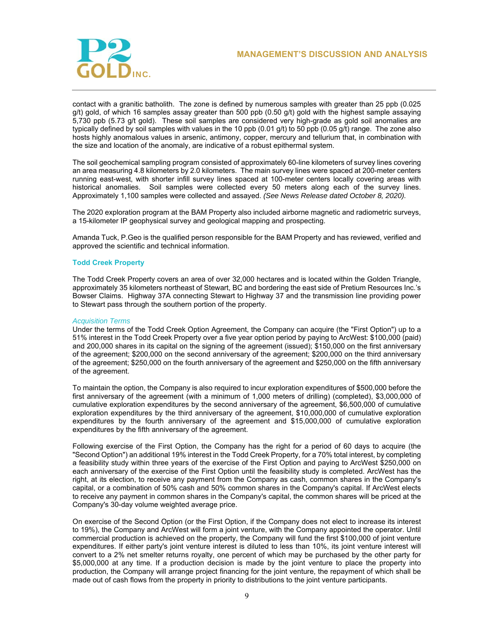

contact with a granitic batholith. The zone is defined by numerous samples with greater than 25 ppb (0.025 g/t) gold, of which 16 samples assay greater than 500 ppb (0.50 g/t) gold with the highest sample assaying 5,730 ppb (5.73 g/t gold). These soil samples are considered very high-grade as gold soil anomalies are typically defined by soil samples with values in the 10 ppb (0.01 g/t) to 50 ppb (0.05 g/t) range. The zone also hosts highly anomalous values in arsenic, antimony, copper, mercury and tellurium that, in combination with the size and location of the anomaly, are indicative of a robust epithermal system.

The soil geochemical sampling program consisted of approximately 60-line kilometers of survey lines covering an area measuring 4.8 kilometers by 2.0 kilometers. The main survey lines were spaced at 200-meter centers running east-west, with shorter infill survey lines spaced at 100-meter centers locally covering areas with historical anomalies. Soil samples were collected every 50 meters along each of the survey lines. Approximately 1,100 samples were collected and assayed. *(See News Release dated October 8, 2020).* 

The 2020 exploration program at the BAM Property also included airborne magnetic and radiometric surveys, a 15-kilometer IP geophysical survey and geological mapping and prospecting.

Amanda Tuck, P.Geo is the qualified person responsible for the BAM Property and has reviewed, verified and approved the scientific and technical information.

# **Todd Creek Property**

The Todd Creek Property covers an area of over 32,000 hectares and is located within the Golden Triangle, approximately 35 kilometers northeast of Stewart, BC and bordering the east side of Pretium Resources Inc.'s Bowser Claims. Highway 37A connecting Stewart to Highway 37 and the transmission line providing power to Stewart pass through the southern portion of the property.

#### *Acquisition Terms*

Under the terms of the Todd Creek Option Agreement, the Company can acquire (the "First Option") up to a 51% interest in the Todd Creek Property over a five year option period by paying to ArcWest: \$100,000 (paid) and 200,000 shares in its capital on the signing of the agreement (issued); \$150,000 on the first anniversary of the agreement; \$200,000 on the second anniversary of the agreement; \$200,000 on the third anniversary of the agreement; \$250,000 on the fourth anniversary of the agreement and \$250,000 on the fifth anniversary of the agreement.

To maintain the option, the Company is also required to incur exploration expenditures of \$500,000 before the first anniversary of the agreement (with a minimum of 1,000 meters of drilling) (completed), \$3,000,000 of cumulative exploration expenditures by the second anniversary of the agreement, \$6,500,000 of cumulative exploration expenditures by the third anniversary of the agreement, \$10,000,000 of cumulative exploration expenditures by the fourth anniversary of the agreement and \$15,000,000 of cumulative exploration expenditures by the fifth anniversary of the agreement.

Following exercise of the First Option, the Company has the right for a period of 60 days to acquire (the "Second Option") an additional 19% interest in the Todd Creek Property, for a 70% total interest, by completing a feasibility study within three years of the exercise of the First Option and paying to ArcWest \$250,000 on each anniversary of the exercise of the First Option until the feasibility study is completed. ArcWest has the right, at its election, to receive any payment from the Company as cash, common shares in the Company's capital, or a combination of 50% cash and 50% common shares in the Company's capital. If ArcWest elects to receive any payment in common shares in the Company's capital, the common shares will be priced at the Company's 30-day volume weighted average price.

On exercise of the Second Option (or the First Option, if the Company does not elect to increase its interest to 19%), the Company and ArcWest will form a joint venture, with the Company appointed the operator. Until commercial production is achieved on the property, the Company will fund the first \$100,000 of joint venture expenditures. If either party's joint venture interest is diluted to less than 10%, its joint venture interest will convert to a 2% net smelter returns royalty, one percent of which may be purchased by the other party for \$5,000,000 at any time. If a production decision is made by the joint venture to place the property into production, the Company will arrange project financing for the joint venture, the repayment of which shall be made out of cash flows from the property in priority to distributions to the joint venture participants.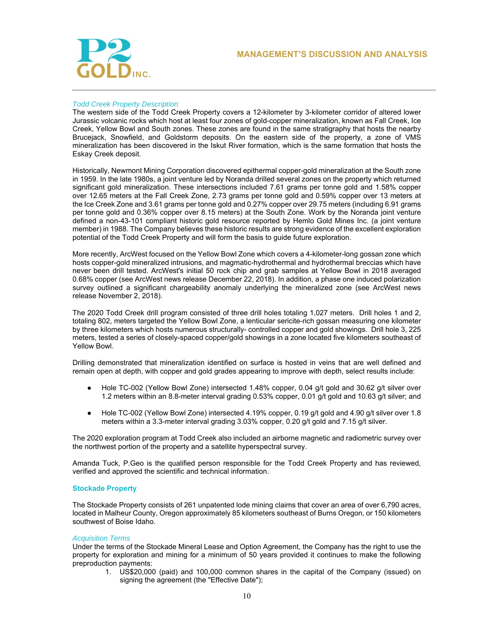

# *Todd Creek Property Description*

The western side of the Todd Creek Property covers a 12-kilometer by 3-kilometer corridor of altered lower Jurassic volcanic rocks which host at least four zones of gold-copper mineralization, known as Fall Creek, Ice Creek, Yellow Bowl and South zones. These zones are found in the same stratigraphy that hosts the nearby Brucejack, Snowfield, and Goldstorm deposits. On the eastern side of the property, a zone of VMS mineralization has been discovered in the Iskut River formation, which is the same formation that hosts the Eskay Creek deposit.

Historically, Newmont Mining Corporation discovered epithermal copper-gold mineralization at the South zone in 1959. In the late 1980s, a joint venture led by Noranda drilled several zones on the property which returned significant gold mineralization. These intersections included 7.61 grams per tonne gold and 1.58% copper over 12.65 meters at the Fall Creek Zone, 2.73 grams per tonne gold and 0.59% copper over 13 meters at the Ice Creek Zone and 3.61 grams per tonne gold and 0.27% copper over 29.75 meters (including 6.91 grams per tonne gold and 0.36% copper over 8.15 meters) at the South Zone. Work by the Noranda joint venture defined a non-43-101 compliant historic gold resource reported by Hemlo Gold Mines Inc. (a joint venture member) in 1988. The Company believes these historic results are strong evidence of the excellent exploration potential of the Todd Creek Property and will form the basis to guide future exploration.

More recently, ArcWest focused on the Yellow Bowl Zone which covers a 4-kilometer-long gossan zone which hosts copper-gold mineralized intrusions, and magmatic-hydrothermal and hydrothermal breccias which have never been drill tested. ArcWest's initial 50 rock chip and grab samples at Yellow Bowl in 2018 averaged 0.68% copper (see ArcWest news release December 22, 2018). In addition, a phase one induced polarization survey outlined a significant chargeability anomaly underlying the mineralized zone (see ArcWest news release November 2, 2018).

The 2020 Todd Creek drill program consisted of three drill holes totaling 1,027 meters. Drill holes 1 and 2, totaling 802, meters targeted the Yellow Bowl Zone, a lenticular sericite-rich gossan measuring one kilometer by three kilometers which hosts numerous structurally- controlled copper and gold showings. Drill hole 3, 225 meters, tested a series of closely-spaced copper/gold showings in a zone located five kilometers southeast of Yellow Bowl.

Drilling demonstrated that mineralization identified on surface is hosted in veins that are well defined and remain open at depth, with copper and gold grades appearing to improve with depth, select results include:

- Hole TC-002 (Yellow Bowl Zone) intersected 1.48% copper, 0.04 g/t gold and 30.62 g/t silver over 1.2 meters within an 8.8-meter interval grading 0.53% copper, 0.01 g/t gold and 10.63 g/t silver; and
- Hole TC-002 (Yellow Bowl Zone) intersected 4.19% copper, 0.19 g/t gold and 4.90 g/t silver over 1.8 meters within a 3.3-meter interval grading 3.03% copper, 0.20 g/t gold and 7.15 g/t silver.

The 2020 exploration program at Todd Creek also included an airborne magnetic and radiometric survey over the northwest portion of the property and a satellite hyperspectral survey.

Amanda Tuck, P.Geo is the qualified person responsible for the Todd Creek Property and has reviewed, verified and approved the scientific and technical information.

## **Stockade Property**

The Stockade Property consists of 261 unpatented lode mining claims that cover an area of over 6,790 acres, located in Malheur County, Oregon approximately 85 kilometers southeast of Burns Oregon, or 150 kilometers southwest of Boise Idaho.

### *Acquisition Terms*

Under the terms of the Stockade Mineral Lease and Option Agreement, the Company has the right to use the property for exploration and mining for a minimum of 50 years provided it continues to make the following preproduction payments:

1. US\$20,000 (paid) and 100,000 common shares in the capital of the Company (issued) on signing the agreement (the "Effective Date");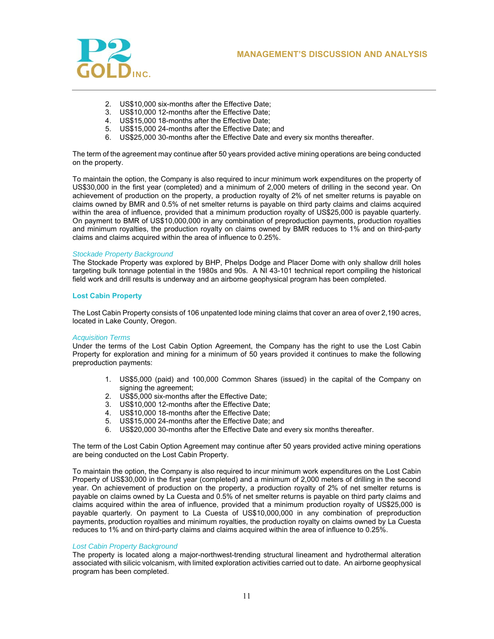



- 2. US\$10,000 six-months after the Effective Date;
- 3. US\$10,000 12-months after the Effective Date;
- 4. US\$15,000 18-months after the Effective Date;
- 5. US\$15,000 24-months after the Effective Date; and
- 6. US\$25,000 30-months after the Effective Date and every six months thereafter.

The term of the agreement may continue after 50 years provided active mining operations are being conducted on the property.

To maintain the option, the Company is also required to incur minimum work expenditures on the property of US\$30,000 in the first year (completed) and a minimum of 2,000 meters of drilling in the second year. On achievement of production on the property, a production royalty of 2% of net smelter returns is payable on claims owned by BMR and 0.5% of net smelter returns is payable on third party claims and claims acquired within the area of influence, provided that a minimum production royalty of US\$25,000 is payable quarterly. On payment to BMR of US\$10,000,000 in any combination of preproduction payments, production royalties and minimum royalties, the production royalty on claims owned by BMR reduces to 1% and on third-party claims and claims acquired within the area of influence to 0.25%.

### *Stockade Property Background*

The Stockade Property was explored by BHP, Phelps Dodge and Placer Dome with only shallow drill holes targeting bulk tonnage potential in the 1980s and 90s. A NI 43-101 technical report compiling the historical field work and drill results is underway and an airborne geophysical program has been completed.

# **Lost Cabin Property**

The Lost Cabin Property consists of 106 unpatented lode mining claims that cover an area of over 2,190 acres, located in Lake County, Oregon.

### *Acquisition Terms*

Under the terms of the Lost Cabin Option Agreement, the Company has the right to use the Lost Cabin Property for exploration and mining for a minimum of 50 years provided it continues to make the following preproduction payments:

- 1. US\$5,000 (paid) and 100,000 Common Shares (issued) in the capital of the Company on signing the agreement:
- 2. US\$5,000 six-months after the Effective Date;
- 3. US\$10,000 12-months after the Effective Date;
- 4. US\$10,000 18-months after the Effective Date;
- 5. US\$15,000 24-months after the Effective Date; and
- 6. US\$20,000 30-months after the Effective Date and every six months thereafter.

The term of the Lost Cabin Option Agreement may continue after 50 years provided active mining operations are being conducted on the Lost Cabin Property.

To maintain the option, the Company is also required to incur minimum work expenditures on the Lost Cabin Property of US\$30,000 in the first year (completed) and a minimum of 2,000 meters of drilling in the second year. On achievement of production on the property, a production royalty of 2% of net smelter returns is payable on claims owned by La Cuesta and 0.5% of net smelter returns is payable on third party claims and claims acquired within the area of influence, provided that a minimum production royalty of US\$25,000 is payable quarterly. On payment to La Cuesta of US\$10,000,000 in any combination of preproduction payments, production royalties and minimum royalties, the production royalty on claims owned by La Cuesta reduces to 1% and on third-party claims and claims acquired within the area of influence to 0.25%.

# *Lost Cabin Property Background*

The property is located along a major-northwest-trending structural lineament and hydrothermal alteration associated with silicic volcanism, with limited exploration activities carried out to date. An airborne geophysical program has been completed.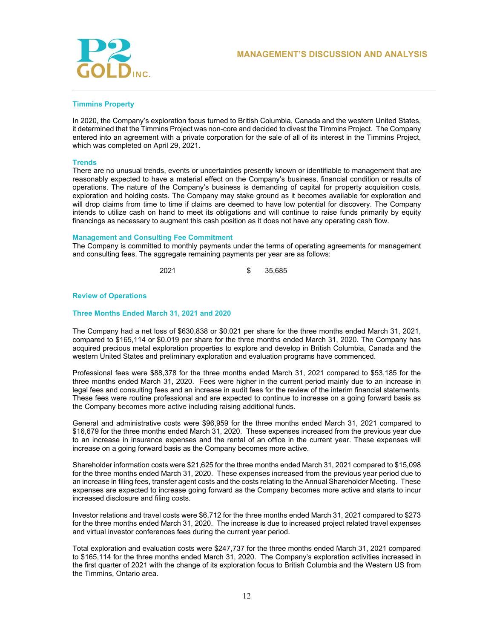



# **Timmins Property**

In 2020, the Company's exploration focus turned to British Columbia, Canada and the western United States, it determined that the Timmins Project was non-core and decided to divest the Timmins Project. The Company entered into an agreement with a private corporation for the sale of all of its interest in the Timmins Project, which was completed on April 29, 2021.

# **Trends**

There are no unusual trends, events or uncertainties presently known or identifiable to management that are reasonably expected to have a material effect on the Company's business, financial condition or results of operations. The nature of the Company's business is demanding of capital for property acquisition costs, exploration and holding costs. The Company may stake ground as it becomes available for exploration and will drop claims from time to time if claims are deemed to have low potential for discovery. The Company intends to utilize cash on hand to meet its obligations and will continue to raise funds primarily by equity financings as necessary to augment this cash position as it does not have any operating cash flow.

# **Management and Consulting Fee Commitment**

The Company is committed to monthly payments under the terms of operating agreements for management and consulting fees. The aggregate remaining payments per year are as follows:

2021 \$ 35,685

# **Review of Operations**

# **Three Months Ended March 31, 2021 and 2020**

The Company had a net loss of \$630,838 or \$0.021 per share for the three months ended March 31, 2021, compared to \$165,114 or \$0.019 per share for the three months ended March 31, 2020. The Company has acquired precious metal exploration properties to explore and develop in British Columbia, Canada and the western United States and preliminary exploration and evaluation programs have commenced.

Professional fees were \$88,378 for the three months ended March 31, 2021 compared to \$53,185 for the three months ended March 31, 2020. Fees were higher in the current period mainly due to an increase in legal fees and consulting fees and an increase in audit fees for the review of the interim financial statements. These fees were routine professional and are expected to continue to increase on a going forward basis as the Company becomes more active including raising additional funds.

General and administrative costs were \$96,959 for the three months ended March 31, 2021 compared to \$16,679 for the three months ended March 31, 2020. These expenses increased from the previous year due to an increase in insurance expenses and the rental of an office in the current year. These expenses will increase on a going forward basis as the Company becomes more active.

Shareholder information costs were \$21,625 for the three months ended March 31, 2021 compared to \$15,098 for the three months ended March 31, 2020. These expenses increased from the previous year period due to an increase in filing fees, transfer agent costs and the costs relating to the Annual Shareholder Meeting. These expenses are expected to increase going forward as the Company becomes more active and starts to incur increased disclosure and filing costs.

Investor relations and travel costs were \$6,712 for the three months ended March 31, 2021 compared to \$273 for the three months ended March 31, 2020. The increase is due to increased project related travel expenses and virtual investor conferences fees during the current year period.

Total exploration and evaluation costs were \$247,737 for the three months ended March 31, 2021 compared to \$165,114 for the three months ended March 31, 2020. The Company's exploration activities increased in the first quarter of 2021 with the change of its exploration focus to British Columbia and the Western US from the Timmins, Ontario area.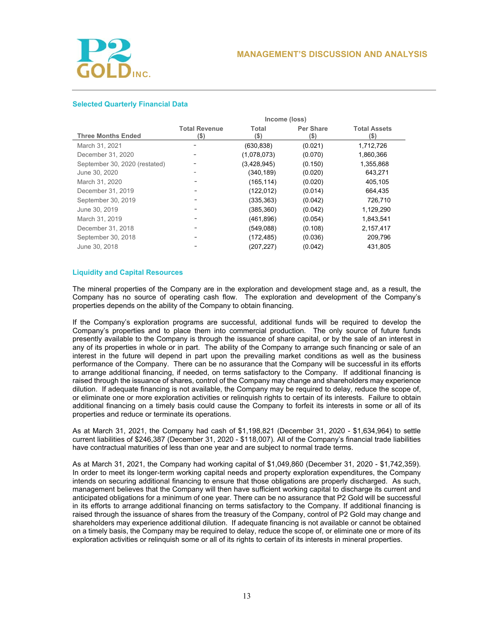

# **Selected Quarterly Financial Data**

|                               | Income (loss)                   |                  |                          |                             |  |
|-------------------------------|---------------------------------|------------------|--------------------------|-----------------------------|--|
| <b>Three Months Ended</b>     | <b>Total Revenue</b><br>$($ \$) | Total<br>$($ \$) | <b>Per Share</b><br>(\$) | <b>Total Assets</b><br>(\$) |  |
| March 31, 2021                |                                 | (630, 838)       | (0.021)                  | 1,712,726                   |  |
| December 31, 2020             |                                 | (1,078,073)      | (0.070)                  | 1,860,366                   |  |
| September 30, 2020 (restated) |                                 | (3,428,945)      | (0.150)                  | 1,355,868                   |  |
| June 30, 2020                 |                                 | (340, 189)       | (0.020)                  | 643,271                     |  |
| March 31, 2020                |                                 | (165, 114)       | (0.020)                  | 405,105                     |  |
| December 31, 2019             |                                 | (122, 012)       | (0.014)                  | 664,435                     |  |
| September 30, 2019            |                                 | (335, 363)       | (0.042)                  | 726.710                     |  |
| June 30, 2019                 |                                 | (385, 360)       | (0.042)                  | 1,129,290                   |  |
| March 31, 2019                | -                               | (461, 896)       | (0.054)                  | 1,843,541                   |  |
| December 31, 2018             | -                               | (549,088)        | (0.108)                  | 2,157,417                   |  |
| September 30, 2018            | -                               | (172, 485)       | (0.036)                  | 209,796                     |  |
| June 30, 2018                 |                                 | (207, 227)       | (0.042)                  | 431,805                     |  |

## **Liquidity and Capital Resources**

The mineral properties of the Company are in the exploration and development stage and, as a result, the Company has no source of operating cash flow. The exploration and development of the Company's properties depends on the ability of the Company to obtain financing.

If the Company's exploration programs are successful, additional funds will be required to develop the Company's properties and to place them into commercial production. The only source of future funds presently available to the Company is through the issuance of share capital, or by the sale of an interest in any of its properties in whole or in part. The ability of the Company to arrange such financing or sale of an interest in the future will depend in part upon the prevailing market conditions as well as the business performance of the Company. There can be no assurance that the Company will be successful in its efforts to arrange additional financing, if needed, on terms satisfactory to the Company. If additional financing is raised through the issuance of shares, control of the Company may change and shareholders may experience dilution. If adequate financing is not available, the Company may be required to delay, reduce the scope of, or eliminate one or more exploration activities or relinquish rights to certain of its interests. Failure to obtain additional financing on a timely basis could cause the Company to forfeit its interests in some or all of its properties and reduce or terminate its operations.

As at March 31, 2021, the Company had cash of \$1,198,821 (December 31, 2020 - \$1,634,964) to settle current liabilities of \$246,387 (December 31, 2020 - \$118,007). All of the Company's financial trade liabilities have contractual maturities of less than one year and are subject to normal trade terms.

As at March 31, 2021, the Company had working capital of \$1,049,860 (December 31, 2020 - \$1,742,359). In order to meet its longer-term working capital needs and property exploration expenditures, the Company intends on securing additional financing to ensure that those obligations are properly discharged. As such, management believes that the Company will then have sufficient working capital to discharge its current and anticipated obligations for a minimum of one year. There can be no assurance that P2 Gold will be successful in its efforts to arrange additional financing on terms satisfactory to the Company. If additional financing is raised through the issuance of shares from the treasury of the Company, control of P2 Gold may change and shareholders may experience additional dilution. If adequate financing is not available or cannot be obtained on a timely basis, the Company may be required to delay, reduce the scope of, or eliminate one or more of its exploration activities or relinquish some or all of its rights to certain of its interests in mineral properties.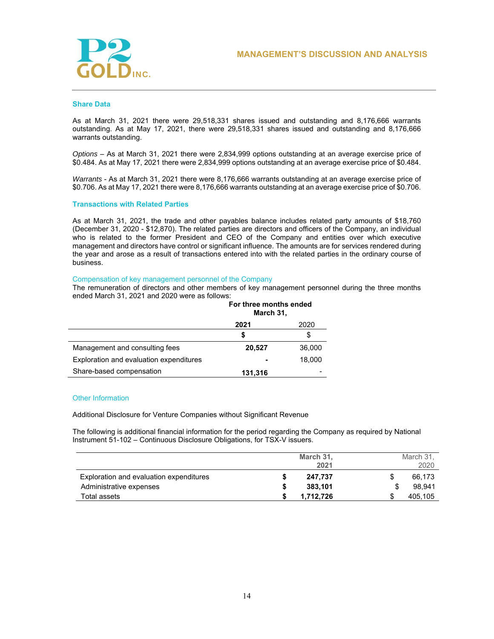

#### **Share Data**

As at March 31, 2021 there were 29,518,331 shares issued and outstanding and 8,176,666 warrants outstanding. As at May 17, 2021, there were 29,518,331 shares issued and outstanding and 8,176,666 warrants outstanding.

*Options* – As at March 31, 2021 there were 2,834,999 options outstanding at an average exercise price of \$0.484. As at May 17, 2021 there were 2,834,999 options outstanding at an average exercise price of \$0.484.

*Warrants* - As at March 31, 2021 there were 8,176,666 warrants outstanding at an average exercise price of \$0.706. As at May 17, 2021 there were 8,176,666 warrants outstanding at an average exercise price of \$0.706.

### **Transactions with Related Parties**

As at March 31, 2021, the trade and other payables balance includes related party amounts of \$18,760 (December 31, 2020 - \$12,870). The related parties are directors and officers of the Company, an individual who is related to the former President and CEO of the Company and entities over which executive management and directors have control or significant influence. The amounts are for services rendered during the year and arose as a result of transactions entered into with the related parties in the ordinary course of business.

## Compensation of key management personnel of the Company

The remuneration of directors and other members of key management personnel during the three months ended March 31, 2021 and 2020 were as follows:

|                                         | For three months ended<br>March 31, |        |  |
|-----------------------------------------|-------------------------------------|--------|--|
|                                         | 2021<br>2020                        |        |  |
|                                         | S                                   | \$     |  |
| Management and consulting fees          | 20,527                              | 36,000 |  |
| Exploration and evaluation expenditures |                                     | 18.000 |  |
| Share-based compensation                | 131,316                             |        |  |

#### Other Information

Additional Disclosure for Venture Companies without Significant Revenue

The following is additional financial information for the period regarding the Company as required by National Instrument 51-102 – Continuous Disclosure Obligations, for TSX-V issuers.

|                                         | March 31,<br>2021 | March 31.<br>2020 |
|-----------------------------------------|-------------------|-------------------|
| Exploration and evaluation expenditures | 247.737           | 66.173            |
| Administrative expenses                 | 383,101           | 98.941            |
| Total assets                            | 1.712.726         | 405.105           |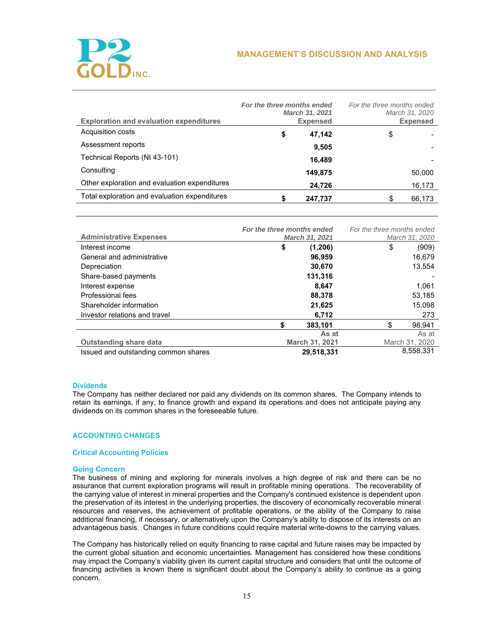

| <b>Exploration and evaluation expenditures</b> | For the three months ended | March 31, 2021<br><b>Expensed</b> | For the three months ended | March 31, 2020<br><b>Expensed</b> |
|------------------------------------------------|----------------------------|-----------------------------------|----------------------------|-----------------------------------|
| Acquisition costs                              | \$                         | 47,142                            | \$                         |                                   |
| Assessment reports                             |                            | 9,505                             |                            |                                   |
| Technical Reports (NI 43-101)                  |                            | 16,489                            |                            |                                   |
| Consulting                                     |                            | 149,875                           |                            | 50,000                            |
| Other exploration and evaluation expenditures  |                            | 24,726                            |                            | 16,173                            |
| Total exploration and evaluation expenditures  |                            | 247,737                           |                            | 66,173                            |

|                                      | For the three months ended |                | For the three months ended |    |                |
|--------------------------------------|----------------------------|----------------|----------------------------|----|----------------|
| <b>Administrative Expenses</b>       | March 31, 2021             |                | March 31, 2020             |    |                |
| Interest income                      | \$                         | (1,206)        |                            | \$ | (909)          |
| General and administrative           |                            | 96,959         |                            |    | 16,679         |
| Depreciation                         |                            | 30,670         |                            |    | 13,554         |
| Share-based payments                 |                            | 131,316        |                            |    |                |
| Interest expense                     |                            | 8.647          |                            |    | 1,061          |
| Professional fees                    |                            | 88,378         |                            |    | 53,185         |
| Shareholder information              |                            | 21,625         |                            |    | 15,098         |
| Investor relations and travel        |                            | 6,712          |                            |    | 273            |
|                                      | \$                         | 383,101        |                            | \$ | 98,941         |
|                                      |                            | As at          |                            |    | As at          |
| <b>Outstanding share data</b>        |                            | March 31, 2021 |                            |    | March 31, 2020 |
| Issued and outstanding common shares |                            | 29.518.331     |                            |    | 8,558,331      |

# **Dividends**

The Company has neither declared nor paid any dividends on its common shares. The Company intends to retain its earnings, if any, to finance growth and expand its operations and does not anticipate paying any dividends on its common shares in the foreseeable future.

# **ACCOUNTING CHANGES**

# **Critical Accounting Policies**

# **Going Concern**

The business of mining and exploring for minerals involves a high degree of risk and there can be no assurance that current exploration programs will result in profitable mining operations. The recoverability of the carrying value of interest in mineral properties and the Company's continued existence is dependent upon the preservation of its interest in the underlying properties, the discovery of economically recoverable mineral resources and reserves, the achievement of profitable operations, or the ability of the Company to raise additional financing, if necessary, or alternatively upon the Company's ability to dispose of its interests on an advantageous basis. Changes in future conditions could require material write-downs to the carrying values.

The Company has historically relied on equity financing to raise capital and future raises may be impacted by the current global situation and economic uncertainties. Management has considered how these conditions may impact the Company's viability given its current capital structure and considers that until the outcome of financing activities is known there is significant doubt about the Company's ability to continue as a going concern.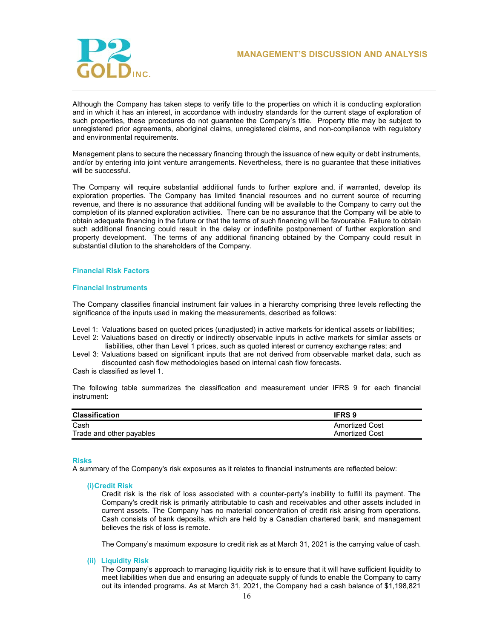

Although the Company has taken steps to verify title to the properties on which it is conducting exploration and in which it has an interest, in accordance with industry standards for the current stage of exploration of such properties, these procedures do not guarantee the Company's title. Property title may be subject to unregistered prior agreements, aboriginal claims, unregistered claims, and non-compliance with regulatory and environmental requirements.

Management plans to secure the necessary financing through the issuance of new equity or debt instruments, and/or by entering into joint venture arrangements. Nevertheless, there is no guarantee that these initiatives will be successful.

The Company will require substantial additional funds to further explore and, if warranted, develop its exploration properties. The Company has limited financial resources and no current source of recurring revenue, and there is no assurance that additional funding will be available to the Company to carry out the completion of its planned exploration activities. There can be no assurance that the Company will be able to obtain adequate financing in the future or that the terms of such financing will be favourable. Failure to obtain such additional financing could result in the delay or indefinite postponement of further exploration and property development. The terms of any additional financing obtained by the Company could result in substantial dilution to the shareholders of the Company.

# **Financial Risk Factors**

### **Financial Instruments**

The Company classifies financial instrument fair values in a hierarchy comprising three levels reflecting the significance of the inputs used in making the measurements, described as follows:

Level 1: Valuations based on quoted prices (unadjusted) in active markets for identical assets or liabilities;

- Level 2: Valuations based on directly or indirectly observable inputs in active markets for similar assets or liabilities, other than Level 1 prices, such as quoted interest or currency exchange rates; and
- Level 3: Valuations based on significant inputs that are not derived from observable market data, such as discounted cash flow methodologies based on internal cash flow forecasts.

Cash is classified as level 1.

The following table summarizes the classification and measurement under IFRS 9 for each financial instrument:

| <b>Classification</b>    | <b>IFRS 9</b>         |
|--------------------------|-----------------------|
| Cash                     | <b>Amortized Cost</b> |
| Trade and other payables | <b>Amortized Cost</b> |

### **Risks**

A summary of the Company's risk exposures as it relates to financial instruments are reflected below:

### **(i) Credit Risk**

Credit risk is the risk of loss associated with a counter-party's inability to fulfill its payment. The Company's credit risk is primarily attributable to cash and receivables and other assets included in current assets. The Company has no material concentration of credit risk arising from operations. Cash consists of bank deposits, which are held by a Canadian chartered bank, and management believes the risk of loss is remote.

The Company's maximum exposure to credit risk as at March 31, 2021 is the carrying value of cash.

# **(ii) Liquidity Risk**

The Company's approach to managing liquidity risk is to ensure that it will have sufficient liquidity to meet liabilities when due and ensuring an adequate supply of funds to enable the Company to carry out its intended programs. As at March 31, 2021, the Company had a cash balance of \$1,198,821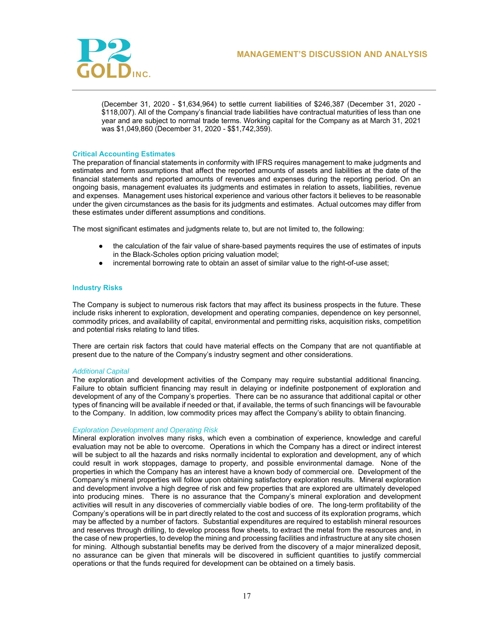

(December 31, 2020 - \$1,634,964) to settle current liabilities of \$246,387 (December 31, 2020 - \$118,007). All of the Company's financial trade liabilities have contractual maturities of less than one year and are subject to normal trade terms. Working capital for the Company as at March 31, 2021 was \$1,049,860 (December 31, 2020 - \$\$1,742,359).

# **Critical Accounting Estimates**

The preparation of financial statements in conformity with IFRS requires management to make judgments and estimates and form assumptions that affect the reported amounts of assets and liabilities at the date of the financial statements and reported amounts of revenues and expenses during the reporting period. On an ongoing basis, management evaluates its judgments and estimates in relation to assets, liabilities, revenue and expenses. Management uses historical experience and various other factors it believes to be reasonable under the given circumstances as the basis for its judgments and estimates. Actual outcomes may differ from these estimates under different assumptions and conditions.

The most significant estimates and judgments relate to, but are not limited to, the following:

- the calculation of the fair value of share-based payments requires the use of estimates of inputs in the Black-Scholes option pricing valuation model;
- incremental borrowing rate to obtain an asset of similar value to the right-of-use asset;

# **Industry Risks**

The Company is subject to numerous risk factors that may affect its business prospects in the future. These include risks inherent to exploration, development and operating companies, dependence on key personnel, commodity prices, and availability of capital, environmental and permitting risks, acquisition risks, competition and potential risks relating to land titles.

There are certain risk factors that could have material effects on the Company that are not quantifiable at present due to the nature of the Company's industry segment and other considerations.

### *Additional Capital*

The exploration and development activities of the Company may require substantial additional financing. Failure to obtain sufficient financing may result in delaying or indefinite postponement of exploration and development of any of the Company's properties. There can be no assurance that additional capital or other types of financing will be available if needed or that, if available, the terms of such financings will be favourable to the Company. In addition, low commodity prices may affect the Company's ability to obtain financing.

## *Exploration Development and Operating Risk*

Mineral exploration involves many risks, which even a combination of experience, knowledge and careful evaluation may not be able to overcome. Operations in which the Company has a direct or indirect interest will be subject to all the hazards and risks normally incidental to exploration and development, any of which could result in work stoppages, damage to property, and possible environmental damage. None of the properties in which the Company has an interest have a known body of commercial ore. Development of the Company's mineral properties will follow upon obtaining satisfactory exploration results. Mineral exploration and development involve a high degree of risk and few properties that are explored are ultimately developed into producing mines. There is no assurance that the Company's mineral exploration and development activities will result in any discoveries of commercially viable bodies of ore. The long-term profitability of the Company's operations will be in part directly related to the cost and success of its exploration programs, which may be affected by a number of factors. Substantial expenditures are required to establish mineral resources and reserves through drilling, to develop process flow sheets, to extract the metal from the resources and, in the case of new properties, to develop the mining and processing facilities and infrastructure at any site chosen for mining. Although substantial benefits may be derived from the discovery of a major mineralized deposit, no assurance can be given that minerals will be discovered in sufficient quantities to justify commercial operations or that the funds required for development can be obtained on a timely basis.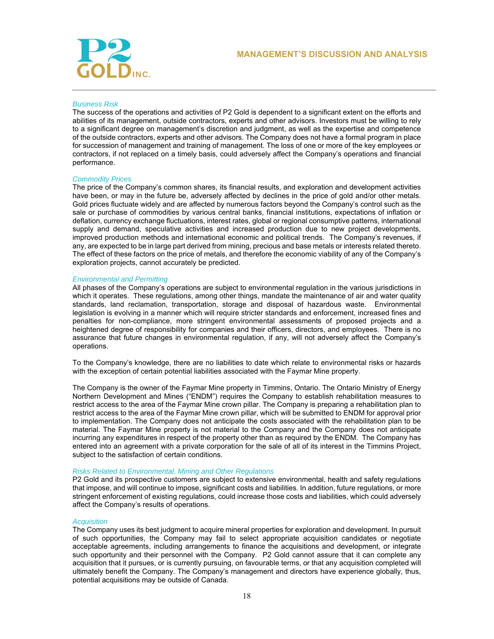

## *Business Risk*

The success of the operations and activities of P2 Gold is dependent to a significant extent on the efforts and abilities of its management, outside contractors, experts and other advisors. Investors must be willing to rely to a significant degree on management's discretion and judgment, as well as the expertise and competence of the outside contractors, experts and other advisors. The Company does not have a formal program in place for succession of management and training of management. The loss of one or more of the key employees or contractors, if not replaced on a timely basis, could adversely affect the Company's operations and financial performance.

# *Commodity Prices*

The price of the Company's common shares, its financial results, and exploration and development activities have been, or may in the future be, adversely affected by declines in the price of gold and/or other metals. Gold prices fluctuate widely and are affected by numerous factors beyond the Company's control such as the sale or purchase of commodities by various central banks, financial institutions, expectations of inflation or deflation, currency exchange fluctuations, interest rates, global or regional consumptive patterns, international supply and demand, speculative activities and increased production due to new project developments, improved production methods and international economic and political trends. The Company's revenues, if any, are expected to be in large part derived from mining, precious and base metals or interests related thereto. The effect of these factors on the price of metals, and therefore the economic viability of any of the Company's exploration projects, cannot accurately be predicted.

# *Environmental and Permitting*

All phases of the Company's operations are subject to environmental regulation in the various jurisdictions in which it operates. These regulations, among other things, mandate the maintenance of air and water quality standards, land reclamation, transportation, storage and disposal of hazardous waste. Environmental legislation is evolving in a manner which will require stricter standards and enforcement, increased fines and penalties for non-compliance, more stringent environmental assessments of proposed projects and a heightened degree of responsibility for companies and their officers, directors, and employees. There is no assurance that future changes in environmental regulation, if any, will not adversely affect the Company's operations.

To the Company's knowledge, there are no liabilities to date which relate to environmental risks or hazards with the exception of certain potential liabilities associated with the Faymar Mine property.

The Company is the owner of the Faymar Mine property in Timmins, Ontario. The Ontario Ministry of Energy Northern Development and Mines ("ENDM") requires the Company to establish rehabilitation measures to restrict access to the area of the Faymar Mine crown pillar. The Company is preparing a rehabilitation plan to restrict access to the area of the Faymar Mine crown pillar, which will be submitted to ENDM for approval prior to implementation. The Company does not anticipate the costs associated with the rehabilitation plan to be material. The Faymar Mine property is not material to the Company and the Company does not anticipate incurring any expenditures in respect of the property other than as required by the ENDM. The Company has entered into an agreement with a private corporation for the sale of all of its interest in the Timmins Project, subject to the satisfaction of certain conditions.

# *Risks Related to Environmental, Mining and Other Regulations*

P2 Gold and its prospective customers are subject to extensive environmental, health and safety regulations that impose, and will continue to impose, significant costs and liabilities. In addition, future regulations, or more stringent enforcement of existing regulations, could increase those costs and liabilities, which could adversely affect the Company's results of operations.

### *Acquisition*

The Company uses its best judgment to acquire mineral properties for exploration and development. In pursuit of such opportunities, the Company may fail to select appropriate acquisition candidates or negotiate acceptable agreements, including arrangements to finance the acquisitions and development, or integrate such opportunity and their personnel with the Company. P2 Gold cannot assure that it can complete any acquisition that it pursues, or is currently pursuing, on favourable terms, or that any acquisition completed will ultimately benefit the Company. The Company's management and directors have experience globally, thus, potential acquisitions may be outside of Canada.